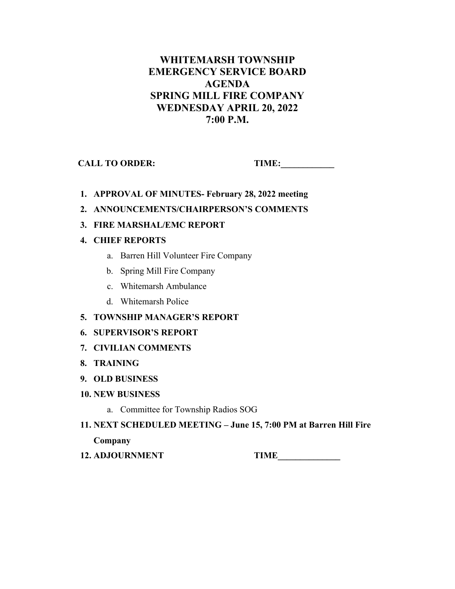# **WHITEMARSH TOWNSHIP EMERGENCY SERVICE BOARD AGENDA SPRING MILL FIRE COMPANY WEDNESDAY APRIL 20, 2022 7:00 P.M.**

**CALL TO ORDER: TIME:\_\_\_\_\_\_\_\_\_\_\_\_** 

- **1. APPROVAL OF MINUTES- February 28, 2022 meeting**
- **2. ANNOUNCEMENTS/CHAIRPERSON'S COMMENTS**
- **3. FIRE MARSHAL/EMC REPORT**

## **4. CHIEF REPORTS**

- a. Barren Hill Volunteer Fire Company
- b. Spring Mill Fire Company
- c. Whitemarsh Ambulance
- d. Whitemarsh Police
- **5. TOWNSHIP MANAGER'S REPORT**

### **6. SUPERVISOR'S REPORT**

- **7. CIVILIAN COMMENTS**
- **8. TRAINING**
- **9. OLD BUSINESS**

### **10. NEW BUSINESS**

- a. Committee for Township Radios SOG
- **11. NEXT SCHEDULED MEETING June 15, 7:00 PM at Barren Hill Fire Company**
- **12. ADJOURNMENT TIME\_\_\_\_\_\_\_\_\_\_\_\_\_\_**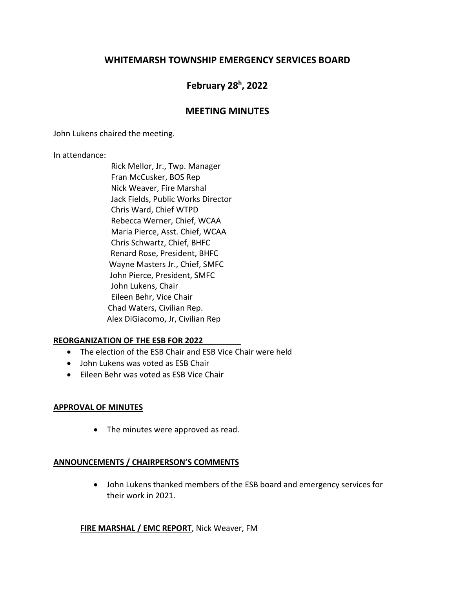# **WHITEMARSH TOWNSHIP EMERGENCY SERVICES BOARD**

# **February 28h , 2022**

### **MEETING MINUTES**

John Lukens chaired the meeting.

In attendance:

 Rick Mellor, Jr., Twp. Manager Fran McCusker, BOS Rep Nick Weaver, Fire Marshal Jack Fields, Public Works Director Chris Ward, Chief WTPD Rebecca Werner, Chief, WCAA Maria Pierce, Asst. Chief, WCAA Chris Schwartz, Chief, BHFC Renard Rose, President, BHFC Wayne Masters Jr., Chief, SMFC John Pierce, President, SMFC John Lukens, Chair Eileen Behr, Vice Chair Chad Waters, Civilian Rep. Alex DiGiacomo, Jr, Civilian Rep

#### **REORGANIZATION OF THE ESB FOR 2022**

- The election of the ESB Chair and ESB Vice Chair were held
- John Lukens was voted as ESB Chair
- Eileen Behr was voted as ESB Vice Chair

#### **APPROVAL OF MINUTES**

• The minutes were approved as read.

### **ANNOUNCEMENTS / CHAIRPERSON'S COMMENTS**

• John Lukens thanked members of the ESB board and emergency services for their work in 2021.

#### **FIRE MARSHAL / EMC REPORT**, Nick Weaver, FM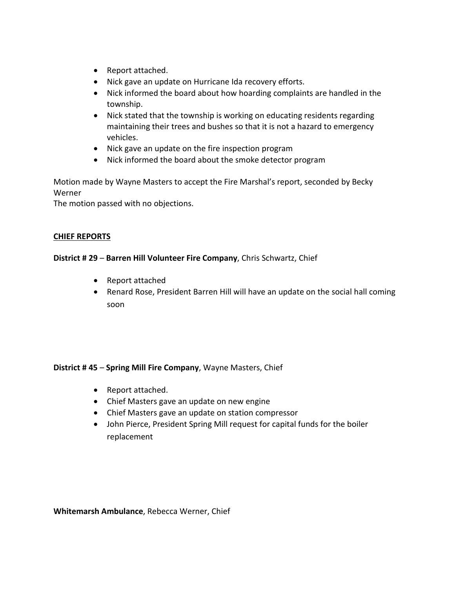- Report attached.
- Nick gave an update on Hurricane Ida recovery efforts.
- Nick informed the board about how hoarding complaints are handled in the township.
- Nick stated that the township is working on educating residents regarding maintaining their trees and bushes so that it is not a hazard to emergency vehicles.
- Nick gave an update on the fire inspection program
- Nick informed the board about the smoke detector program

Motion made by Wayne Masters to accept the Fire Marshal's report, seconded by Becky Werner

The motion passed with no objections.

#### **CHIEF REPORTS**

#### **District # 29** – **Barren Hill Volunteer Fire Company**, Chris Schwartz, Chief

- Report attached
- Renard Rose, President Barren Hill will have an update on the social hall coming soon

### **District # 45** – **Spring Mill Fire Company**, Wayne Masters, Chief

- Report attached.
- Chief Masters gave an update on new engine
- Chief Masters gave an update on station compressor
- John Pierce, President Spring Mill request for capital funds for the boiler replacement

**Whitemarsh Ambulance**, Rebecca Werner, Chief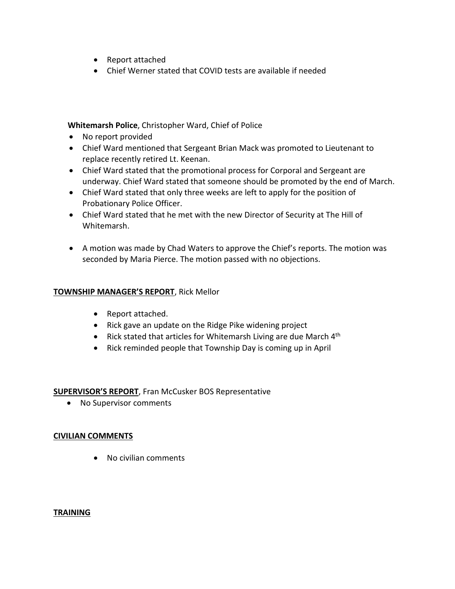- Report attached
- Chief Werner stated that COVID tests are available if needed

#### **Whitemarsh Police**, Christopher Ward, Chief of Police

- No report provided
- Chief Ward mentioned that Sergeant Brian Mack was promoted to Lieutenant to replace recently retired Lt. Keenan.
- Chief Ward stated that the promotional process for Corporal and Sergeant are underway. Chief Ward stated that someone should be promoted by the end of March.
- Chief Ward stated that only three weeks are left to apply for the position of Probationary Police Officer.
- Chief Ward stated that he met with the new Director of Security at The Hill of Whitemarsh.
- A motion was made by Chad Waters to approve the Chief's reports. The motion was seconded by Maria Pierce. The motion passed with no objections.

#### **TOWNSHIP MANAGER'S REPORT**, Rick Mellor

- Report attached.
- Rick gave an update on the Ridge Pike widening project
- Rick stated that articles for Whitemarsh Living are due March  $4<sup>th</sup>$
- Rick reminded people that Township Day is coming up in April

#### **SUPERVISOR'S REPORT**, Fran McCusker BOS Representative

• No Supervisor comments

#### **CIVILIAN COMMENTS**

• No civilian comments

#### **TRAINING**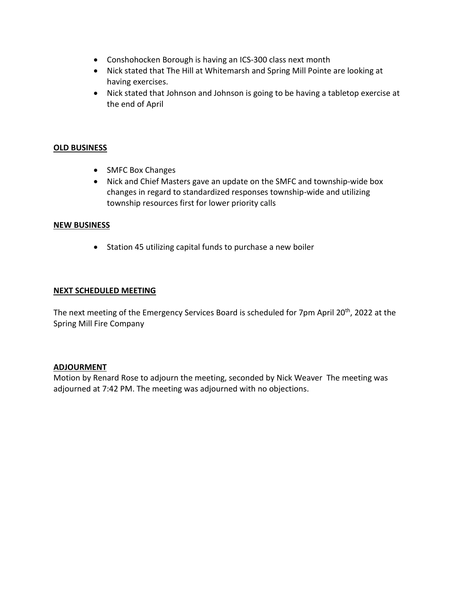- Conshohocken Borough is having an ICS-300 class next month
- Nick stated that The Hill at Whitemarsh and Spring Mill Pointe are looking at having exercises.
- Nick stated that Johnson and Johnson is going to be having a tabletop exercise at the end of April

### **OLD BUSINESS**

- SMFC Box Changes
- Nick and Chief Masters gave an update on the SMFC and township-wide box changes in regard to standardized responses township-wide and utilizing township resources first for lower priority calls

#### **NEW BUSINESS**

• Station 45 utilizing capital funds to purchase a new boiler

#### **NEXT SCHEDULED MEETING**

The next meeting of the Emergency Services Board is scheduled for 7pm April 20<sup>th</sup>, 2022 at the Spring Mill Fire Company

#### **ADJOURMENT**

Motion by Renard Rose to adjourn the meeting, seconded by Nick Weaver The meeting was adjourned at 7:42 PM. The meeting was adjourned with no objections.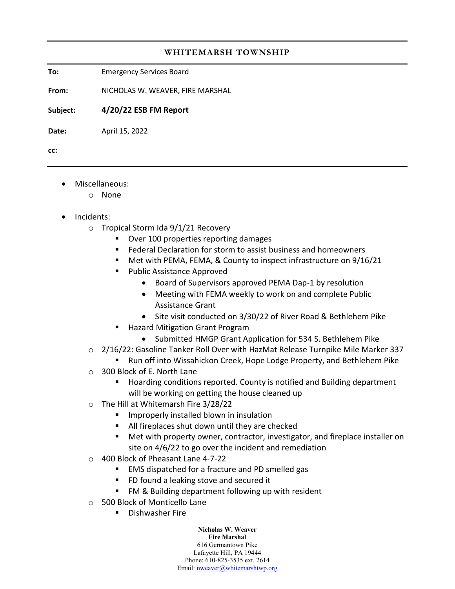#### **WHITEMARSH TOWNSHIP**

**To:** Emergency Services Board

**From:** NICHOLAS W. WEAVER, FIRE MARSHAL

**Subject: 4/20/22 ESB FM Report**

**Date:** April 15, 2022

**cc:** 

- Miscellaneous:
	- o None
- Incidents:
	- o Tropical Storm Ida 9/1/21 Recovery
		- **Diver 100 properties reporting damages**
		- **Federal Declaration for storm to assist business and homeowners**
		- Met with PEMA, FEMA, & County to inspect infrastructure on 9/16/21
		- **Public Assistance Approved** 
			- Board of Supervisors approved PEMA Dap-1 by resolution
			- Meeting with FEMA weekly to work on and complete Public Assistance Grant
			- Site visit conducted on 3/30/22 of River Road & Bethlehem Pike
		- **Hazard Mitigation Grant Program** 
			- Submitted HMGP Grant Application for 534 S. Bethlehem Pike
	- o 2/16/22: Gasoline Tanker Roll Over with HazMat Release Turnpike Mile Marker 337
		- **EXALLER** Run off into Wissahickon Creek, Hope Lodge Property, and Bethlehem Pike
	- o 300 Block of E. North Lane
		- Hoarding conditions reported. County is notified and Building department will be working on getting the house cleaned up
	- o The Hill at Whitemarsh Fire 3/28/22
		- **If** Improperly installed blown in insulation
		- All fireplaces shut down until they are checked
		- Met with property owner, contractor, investigator, and fireplace installer on site on 4/6/22 to go over the incident and remediation
	- o 400 Block of Pheasant Lane 4-7-22
		- EMS dispatched for a fracture and PD smelled gas
		- **FU found a leaking stove and secured it**
		- FM & Building department following up with resident
	- o 500 Block of Monticello Lane
		- **Dishwasher Fire**

**Nicholas W. Weaver Fire Marshal** 616 Germantown Pike Lafayette Hill, PA 19444 Phone: 610-825-3535 ext. 2614 Email: [nweaver@whitemarshtwp.org](mailto:nweaver@whitemarshtwp.org)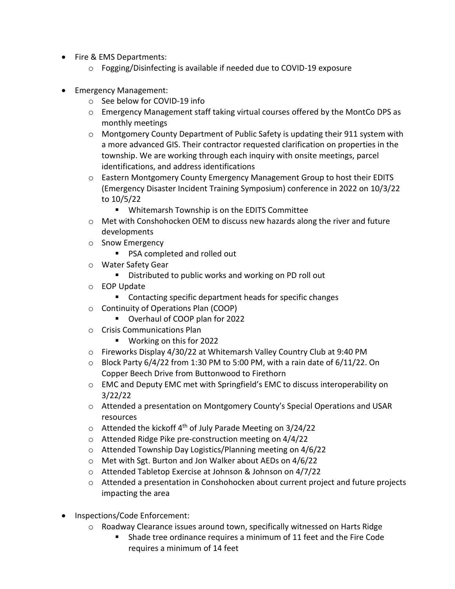- Fire & EMS Departments:
	- $\circ$  Fogging/Disinfecting is available if needed due to COVID-19 exposure
- Emergency Management:
	- o See below for COVID-19 info
	- $\circ$  Emergency Management staff taking virtual courses offered by the MontCo DPS as monthly meetings
	- $\circ$  Montgomery County Department of Public Safety is updating their 911 system with a more advanced GIS. Their contractor requested clarification on properties in the township. We are working through each inquiry with onsite meetings, parcel identifications, and address identifications
	- o Eastern Montgomery County Emergency Management Group to host their EDITS (Emergency Disaster Incident Training Symposium) conference in 2022 on 10/3/22 to 10/5/22
		- Whitemarsh Township is on the EDITS Committee
	- o Met with Conshohocken OEM to discuss new hazards along the river and future developments
	- o Snow Emergency
		- **PSA completed and rolled out**
	- o Water Safety Gear
		- **Distributed to public works and working on PD roll out**
	- o EOP Update
		- Contacting specific department heads for specific changes
	- o Continuity of Operations Plan (COOP)
		- Overhaul of COOP plan for 2022
	- o Crisis Communications Plan
		- **Working on this for 2022**
	- o Fireworks Display 4/30/22 at Whitemarsh Valley Country Club at 9:40 PM
	- $\circ$  Block Party 6/4/22 from 1:30 PM to 5:00 PM, with a rain date of 6/11/22. On Copper Beech Drive from Buttonwood to Firethorn
	- o EMC and Deputy EMC met with Springfield's EMC to discuss interoperability on 3/22/22
	- o Attended a presentation on Montgomery County's Special Operations and USAR resources
	- $\circ$  Attended the kickoff 4<sup>th</sup> of July Parade Meeting on 3/24/22
	- o Attended Ridge Pike pre-construction meeting on 4/4/22
	- o Attended Township Day Logistics/Planning meeting on 4/6/22
	- o Met with Sgt. Burton and Jon Walker about AEDs on 4/6/22
	- o Attended Tabletop Exercise at Johnson & Johnson on 4/7/22
	- o Attended a presentation in Conshohocken about current project and future projects impacting the area
- Inspections/Code Enforcement:
	- o Roadway Clearance issues around town, specifically witnessed on Harts Ridge
		- Shade tree ordinance requires a minimum of 11 feet and the Fire Code requires a minimum of 14 feet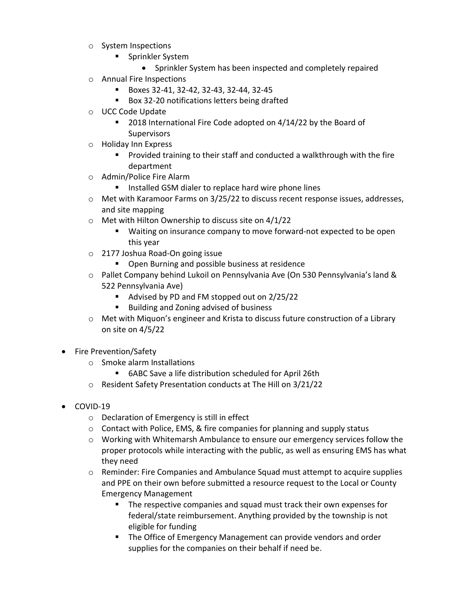- o System Inspections
	- **Sprinkler System** 
		- Sprinkler System has been inspected and completely repaired
- o Annual Fire Inspections
	- Boxes 32-41, 32-42, 32-43, 32-44, 32-45
	- Box 32-20 notifications letters being drafted
- o UCC Code Update
	- 2018 International Fire Code adopted on 4/14/22 by the Board of **Supervisors**
- o Holiday Inn Express
	- **Provided training to their staff and conducted a walkthrough with the fire** department
- o Admin/Police Fire Alarm
	- **IF Installed GSM dialer to replace hard wire phone lines**
- o Met with Karamoor Farms on 3/25/22 to discuss recent response issues, addresses, and site mapping
- o Met with Hilton Ownership to discuss site on 4/1/22
	- Waiting on insurance company to move forward-not expected to be open this year
- o 2177 Joshua Road-On going issue
	- **Den Burning and possible business at residence**
- o Pallet Company behind Lukoil on Pennsylvania Ave (On 530 Pennsylvania's land & 522 Pennsylvania Ave)
	- Advised by PD and FM stopped out on 2/25/22
	- Building and Zoning advised of business
- o Met with Miquon's engineer and Krista to discuss future construction of a Library on site on 4/5/22
- Fire Prevention/Safety
	- o Smoke alarm Installations
		- 6ABC Save a life distribution scheduled for April 26th
	- o Resident Safety Presentation conducts at The Hill on 3/21/22
- COVID-19
	- o Declaration of Emergency is still in effect
	- $\circ$  Contact with Police, EMS, & fire companies for planning and supply status
	- $\circ$  Working with Whitemarsh Ambulance to ensure our emergency services follow the proper protocols while interacting with the public, as well as ensuring EMS has what they need
	- o Reminder: Fire Companies and Ambulance Squad must attempt to acquire supplies and PPE on their own before submitted a resource request to the Local or County Emergency Management
		- **The respective companies and squad must track their own expenses for** federal/state reimbursement. Anything provided by the township is not eligible for funding
		- **The Office of Emergency Management can provide vendors and order** supplies for the companies on their behalf if need be.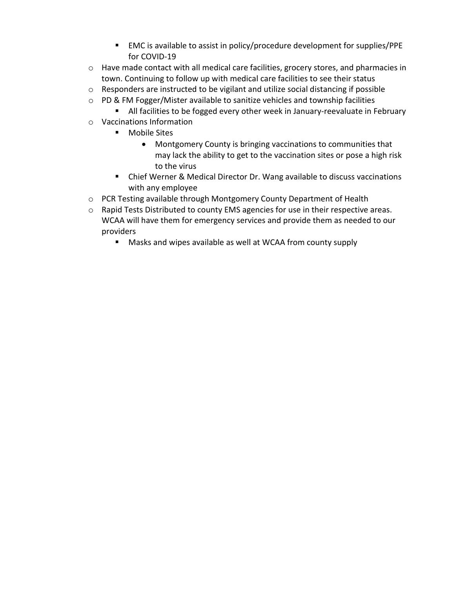- EMC is available to assist in policy/procedure development for supplies/PPE for COVID-19
- o Have made contact with all medical care facilities, grocery stores, and pharmacies in town. Continuing to follow up with medical care facilities to see their status
- o Responders are instructed to be vigilant and utilize social distancing if possible
- $\circ$  PD & FM Fogger/Mister available to sanitize vehicles and township facilities
	- **All facilities to be fogged every other week in January-reevaluate in February**
- o Vaccinations Information
	- **Mobile Sites** 
		- Montgomery County is bringing vaccinations to communities that may lack the ability to get to the vaccination sites or pose a high risk to the virus
	- Chief Werner & Medical Director Dr. Wang available to discuss vaccinations with any employee
- o PCR Testing available through Montgomery County Department of Health
- o Rapid Tests Distributed to county EMS agencies for use in their respective areas. WCAA will have them for emergency services and provide them as needed to our providers
	- Masks and wipes available as well at WCAA from county supply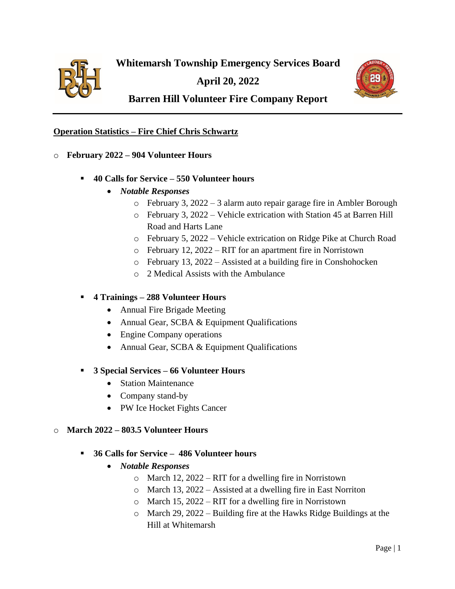

**April 20, 2022**



# **Barren Hill Volunteer Fire Company Report**

#### **Operation Statistics – Fire Chief Chris Schwartz**

- o **February 2022 – 904 Volunteer Hours**
	- **40 Calls for Service – 550 Volunteer hours**
		- *Notable Responses*
			- o February 3, 2022 3 alarm auto repair garage fire in Ambler Borough
			- o February 3, 2022 Vehicle extrication with Station 45 at Barren Hill Road and Harts Lane
			- o February 5, 2022 Vehicle extrication on Ridge Pike at Church Road
			- o February 12, 2022 RIT for an apartment fire in Norristown
			- o February 13, 2022 Assisted at a building fire in Conshohocken
			- o 2 Medical Assists with the Ambulance

### ▪ **4 Trainings – 288 Volunteer Hours**

- Annual Fire Brigade Meeting
- Annual Gear, SCBA & Equipment Qualifications
- Engine Company operations
- Annual Gear, SCBA & Equipment Qualifications

#### ▪ **3 Special Services – 66 Volunteer Hours**

- Station Maintenance
- Company stand-by
- PW Ice Hocket Fights Cancer

#### o **March 2022 – 803.5 Volunteer Hours**

- **36 Calls for Service 486 Volunteer hours**
	- *Notable Responses*
		- o March 12, 2022 RIT for a dwelling fire in Norristown
		- o March 13, 2022 Assisted at a dwelling fire in East Norriton
		- o March 15, 2022 RIT for a dwelling fire in Norristown
		- o March 29, 2022 Building fire at the Hawks Ridge Buildings at the Hill at Whitemarsh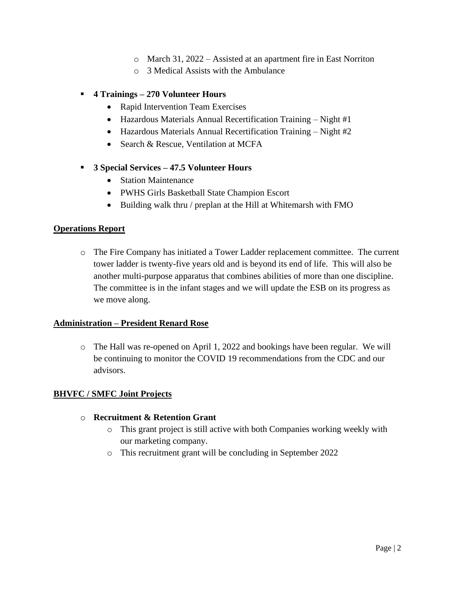- o March 31, 2022 Assisted at an apartment fire in East Norriton
- o 3 Medical Assists with the Ambulance

#### ▪ **4 Trainings – 270 Volunteer Hours**

- Rapid Intervention Team Exercises
- Hazardous Materials Annual Recertification Training Night #1
- Hazardous Materials Annual Recertification Training Night #2
- Search & Rescue, Ventilation at MCFA
- **3 Special Services – 47.5 Volunteer Hours**
	- Station Maintenance
	- PWHS Girls Basketball State Champion Escort
	- Building walk thru / preplan at the Hill at Whitemarsh with FMO

#### **Operations Report**

o The Fire Company has initiated a Tower Ladder replacement committee. The current tower ladder is twenty-five years old and is beyond its end of life. This will also be another multi-purpose apparatus that combines abilities of more than one discipline. The committee is in the infant stages and we will update the ESB on its progress as we move along.

#### **Administration – President Renard Rose**

o The Hall was re-opened on April 1, 2022 and bookings have been regular. We will be continuing to monitor the COVID 19 recommendations from the CDC and our advisors.

#### **BHVFC / SMFC Joint Projects**

#### o **Recruitment & Retention Grant**

- o This grant project is still active with both Companies working weekly with our marketing company.
- o This recruitment grant will be concluding in September 2022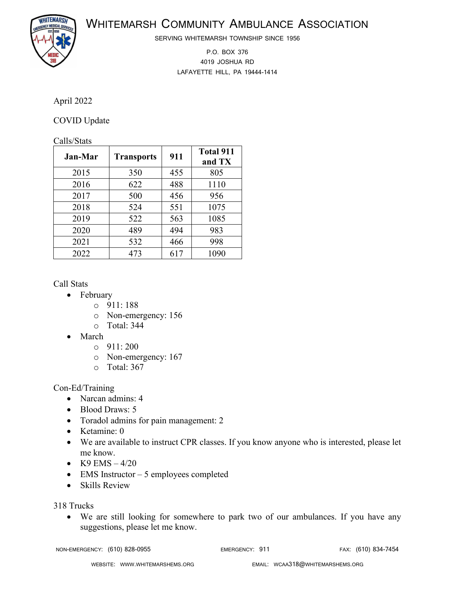WHITEMARSH COMMUNITY AMBULANCE ASSOCIATION



SERVING WHITEMARSH TOWNSHIP SINCE 1956

P.O. BOX 376 4019 JOSHUA RD LAFAYETTE HILL, PA 19444-1414

### April 2022

### COVID Update

#### Calls/Stats

| <b>Jan-Mar</b> | <b>Transports</b> | 911 | <b>Total 911</b><br>and TX |
|----------------|-------------------|-----|----------------------------|
| 2015           | 350               | 455 | 805                        |
| 2016           | 622               | 488 | 1110                       |
| 2017           | 500               | 456 | 956                        |
| 2018           | 524               | 551 | 1075                       |
| 2019           | 522               | 563 | 1085                       |
| 2020           | 489               | 494 | 983                        |
| 2021           | 532               | 466 | 998                        |
| 2022           | 473               | 617 | 1090                       |

Call Stats

- February
	- o 911: 188
		- o Non-emergency: 156
		- o Total: 344
- March
	- o 911: 200
	- o Non-emergency: 167
	- o Total: 367

Con-Ed/Training

- Narcan admins: 4
- Blood Draws: 5
- Toradol admins for pain management: 2
- Ketamine: 0
- We are available to instruct CPR classes. If you know anyone who is interested, please let me know.
- K9 EMS  $4/20$
- EMS Instructor 5 employees completed
- Skills Review

318 Trucks

• We are still looking for somewhere to park two of our ambulances. If you have any suggestions, please let me know.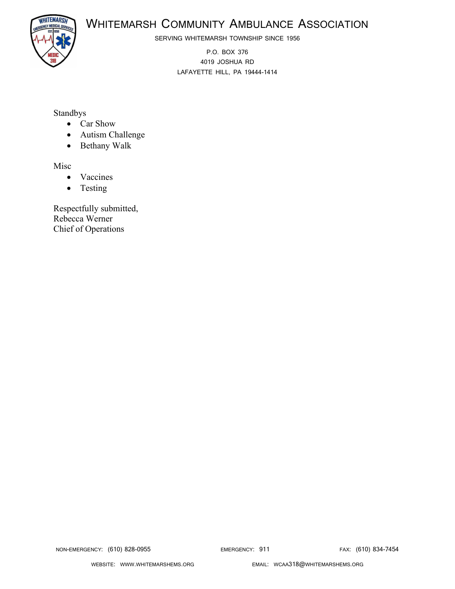

**WHITEMARSH** 

SERVING WHITEMARSH TOWNSHIP SINCE 1956

P.O. BOX 376 4019 JOSHUA RD LAFAYETTE HILL, PA 19444-1414

# Standbys

- Car Show
- Autism Challenge
- Bethany Walk

Misc

- Vaccines
- Testing

Respectfully submitted, Rebecca Werner Chief of Operations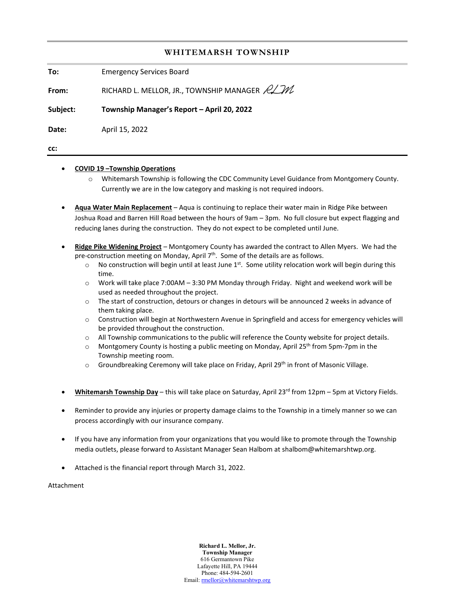#### **WHITEMARSH TOWNSHIP**

**To:** Emergency Services Board

**From:** RICHARD L. MELLOR, JR., TOWNSHIP MANAGER  $\cancel{R}\cancel{\mathcal{M}}$ 

**Subject: Township Manager's Report – April 20, 2022**

**Date:** April 15, 2022

**cc:** 

#### • **COVID 19 –Township Operations**

- o Whitemarsh Township is following the CDC Community Level Guidance from Montgomery County. Currently we are in the low category and masking is not required indoors.
- **Aqua Water Main Replacement** Aqua is continuing to replace their water main in Ridge Pike between Joshua Road and Barren Hill Road between the hours of 9am – 3pm. No full closure but expect flagging and reducing lanes during the construction. They do not expect to be completed until June.
- **Ridge Pike Widening Project** Montgomery County has awarded the contract to Allen Myers. We had the pre-construction meeting on Monday, April  $7<sup>th</sup>$ . Some of the details are as follows.
	- $\circ$  No construction will begin until at least June 1<sup>st</sup>. Some utility relocation work will begin during this time.
	- o Work will take place 7:00AM 3:30 PM Monday through Friday. Night and weekend work will be used as needed throughout the project.
	- o The start of construction, detours or changes in detours will be announced 2 weeks in advance of them taking place.
	- o Construction will begin at Northwestern Avenue in Springfield and access for emergency vehicles will be provided throughout the construction.
	- o All Township communications to the public will reference the County website for project details.
	- Montgomery County is hosting a public meeting on Monday, April 25<sup>th</sup> from 5pm-7pm in the Township meeting room.
	- $\circ$  Groundbreaking Ceremony will take place on Friday, April 29<sup>th</sup> in front of Masonic Village.
- **Whitemarsh Township Day** this will take place on Saturday, April 23rd from 12pm 5pm at Victory Fields.
- Reminder to provide any injuries or property damage claims to the Township in a timely manner so we can process accordingly with our insurance company.
- If you have any information from your organizations that you would like to promote through the Township media outlets, please forward to Assistant Manager Sean Halbom at shalbom@whitemarshtwp.org.
- Attached is the financial report through March 31, 2022.

Attachment

**Richard L. Mellor, Jr. Township Manager** 616 Germantown Pike Lafayette Hill, PA 19444 Phone: 484-594-2601 Email[: rmellor@whitemarshtwp.org](mailto:rmellor@whitemarshtwp.org)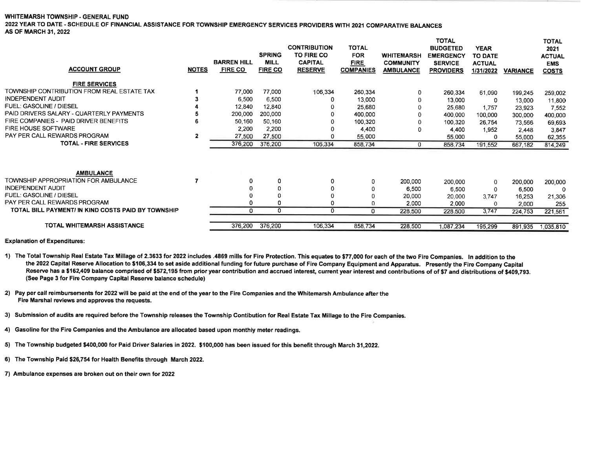#### WHITEMARSH TOWNSHIP - GENERAL FUND

2022 YEAR TO DATE - SCHEDULE OF FINANCIAL ASSISTANCE FOR TOWNSHIP EMERGENCY SERVICES PROVIDERS WITH 2021 COMPARATIVE BALANCES **AS OF MARCH 31, 2022** 

| <b>ACCOUNT GROUP</b>                               | <b>NOTES</b> | <b>BARREN HILL</b><br><b>FIRE CO</b> | <b>SPRING</b><br><b>MILL</b><br><b>FIRE CO</b> | <b>CONTRIBUTION</b><br><b>TO FIRE CO</b><br><b>CAPITAL</b><br><b>RESERVE</b> | <b>TOTAL</b><br><b>FOR</b><br><b>FIRE</b><br><b>COMPANIES</b> | <b>WHITEMARSH</b><br><b>COMMUNITY</b><br><b>AMBULANCE</b> | TOTAL<br><b>BUDGETED</b><br><b>EMERGENCY</b><br><b>SERVICE</b><br><b>PROVIDERS</b> | <b>YEAR</b><br><b>TO DATE</b><br><b>ACTUAL</b><br>1/31/2022 | <b>VARIANCE</b> | <b>TOTAL</b><br>2021<br><b>ACTUAL</b><br><b>EMS</b><br><b>COSTS</b> |
|----------------------------------------------------|--------------|--------------------------------------|------------------------------------------------|------------------------------------------------------------------------------|---------------------------------------------------------------|-----------------------------------------------------------|------------------------------------------------------------------------------------|-------------------------------------------------------------|-----------------|---------------------------------------------------------------------|
| <b>FIRE SERVICES</b>                               |              |                                      |                                                |                                                                              |                                                               |                                                           |                                                                                    |                                                             |                 |                                                                     |
| TOWNSHIP CONTRIBUTION FROM REAL ESTATE TAX         |              | 77,000                               | 77,000                                         | 106,334                                                                      | 260,334                                                       | 0                                                         | 260,334                                                                            | 61,090                                                      | 199,245         | 259,002                                                             |
| <b>INDEPENDENT AUDIT</b>                           |              | 6.500                                | 6.500                                          | 0                                                                            | 13,000                                                        | 0                                                         | 13,000                                                                             | 0                                                           | 13,000          | 11,800                                                              |
| <b>FUEL: GASOLINE / DIESEL</b>                     |              | 12,840                               | 12,840                                         |                                                                              | 25,680                                                        |                                                           | 25.680                                                                             | 1,757                                                       | 23,923          | 7,552                                                               |
| PAID DRIVERS SALARY - QUARTERLY PAYMENTS           |              | 200,000                              | 200,000                                        | 0                                                                            | 400,000                                                       |                                                           | 400,000                                                                            | 100,000                                                     | 300,000         | 400,000                                                             |
| FIRE COMPANIES - PAID DRIVER BENEFITS              |              | 50,160                               | 50,160                                         | O                                                                            | 100,320                                                       |                                                           | 100.320                                                                            | 26,754                                                      | 73,566          | 69,693                                                              |
| <b>FIRE HOUSE SOFTWARE</b>                         |              | 2,200                                | 2,200                                          | 0                                                                            | 4,400                                                         | $\Omega$                                                  | 4.400                                                                              | 1,952                                                       | 2,448           | 3,847                                                               |
| PAY PER CALL REWARDS PROGRAM                       | $\mathbf{2}$ | 27,500                               | 27,500                                         | 0                                                                            | 55,000                                                        |                                                           | 55,000                                                                             | 0                                                           | 55,000          | 62,355                                                              |
| <b>TOTAL - FIRE SERVICES</b>                       |              | 376,200                              | 376,200                                        | 106,334                                                                      | 858,734                                                       | $^{\circ}$                                                | 858,734                                                                            | 191,552                                                     | 667,182         | 814,249                                                             |
| <b>AMBULANCE</b>                                   |              |                                      |                                                |                                                                              |                                                               |                                                           |                                                                                    |                                                             |                 |                                                                     |
| TOWNSHIP APPROPRIATION FOR AMBULANCE               |              | 0                                    | 0                                              | 0                                                                            | 0                                                             | 200,000                                                   | 200,000                                                                            | 0                                                           | 200,000         | 200,000                                                             |
| INDEPENDENT AUDIT                                  |              |                                      | 0                                              |                                                                              | 0                                                             | 6,500                                                     | 6,500                                                                              | $\mathbf 0$                                                 | 6,500           | 0                                                                   |
| <b>FUEL: GASOLINE / DIESEL</b>                     |              | $\Omega$                             | 0                                              | O                                                                            |                                                               | 20,000                                                    | 20,000                                                                             | 3,747                                                       | 16,253          | 21,306                                                              |
| PAY PER CALL REWARDS PROGRAM                       |              | 0                                    | 0                                              | $\Omega$                                                                     |                                                               | 2.000                                                     | 2,000                                                                              | 0                                                           | 2,000           | 255                                                                 |
| TOTAL BILL PAYMENT/ IN KIND COSTS PAID BY TOWNSHIP |              | 0                                    | 0                                              | 0                                                                            | 0                                                             | 228,500                                                   | 228,500                                                                            | 3,747                                                       | 224,753         | 221,561                                                             |
| <b>TOTAL WHITEMARSH ASSISTANCE</b>                 |              | 376,200                              | 376,200                                        | 106,334                                                                      | 858,734                                                       | 228,500                                                   | 1.087.234                                                                          | 195,299                                                     | 891,935         | 1,035,810                                                           |

**Explanation of Expenditures:** 

1) The Total Township Real Estate Tax Millage of 2.3633 for 2022 includes .4869 mills for Fire Protection. This equates to \$77,000 for each of the two Fire Companies. In addition to the the 2022 Capital Reserve Allocation to \$106,334 to set aside additional funding for future purchase of Fire Company Equipment and Apparatus. Presently the Fire Company Capital Reserve has a \$162,409 balance comprised of \$572,195 from prior year contribution and accrued interest, current year interest and contributions of of \$7 and distributions of \$409,793. (See Page 3 for Fire Company Capital Reserve balance schedule)

2) Pay per call reimbursements for 2022 will be paid at the end of the year to the Fire Companies and the Whitemarsh Ambulance after the Fire Marshal reviews and approves the requests.

3) Submission of audits are required before the Township releases the Township Contibution for Real Estate Tax Millage to the Fire Companies.

4) Gasoline for the Fire Companies and the Ambulance are allocated based upon monthly meter readings.

5) The Township budgeted \$400,000 for Paid Driver Salaries in 2022. \$100,000 has been issued for this benefit through March 31,2022.

6) The Township Paid \$26,754 for Health Benefits through March 2022.

7) Ambulance expenses are broken out on their own for 2022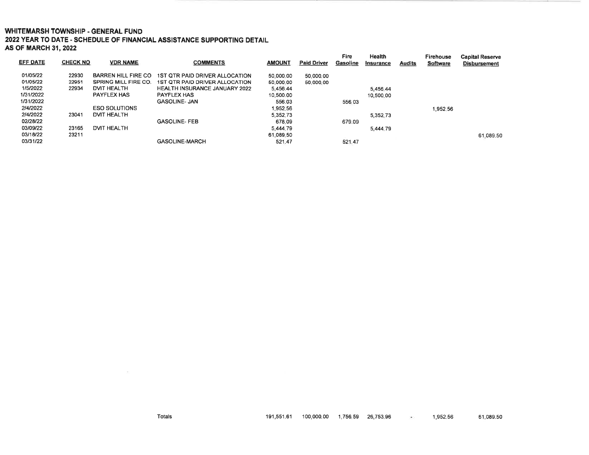#### **WHITEMARSH TOWNSHIP - GENERAL FUND**

2022 YEAR TO DATE - SCHEDULE OF FINANCIAL ASSISTANCE SUPPORTING DETAIL **AS OF MARCH 31, 2022** 

| EFF DATE  | <b>CHECK NO</b> | <b>VDR NAME</b>            | <b>COMMENTS</b>                      | <b>AMOUNT</b> | <b>Paid Driver</b> | Fire<br>Gasoline | <b>Health</b><br>Insurance | <b>Audits</b> | Firehouse<br><b>Software</b> | <b>Capital Reserve</b><br><b>Disbursement</b> |
|-----------|-----------------|----------------------------|--------------------------------------|---------------|--------------------|------------------|----------------------------|---------------|------------------------------|-----------------------------------------------|
| 01/05/22  | 22930           | <b>BARREN HILL FIRE CO</b> | 1ST OTR PAID DRIVER ALLOCATION       | 50,000.00     | 50,000.00          |                  |                            |               |                              |                                               |
| 01/05/22  | 22951           | SPRING MILL FIRE CO.       | 1ST OTR PAID DRIVER ALLOCATION       | 50,000.00     | 50,000.00          |                  |                            |               |                              |                                               |
| 1/5/2022  | 22934           | <b>DVIT HEALTH</b>         | <b>HEALTH INSURANCE JANUARY 2022</b> | 5.456.44      |                    |                  | 5.456.44                   |               |                              |                                               |
| 1/31/2022 |                 | <b>PAYFLEX HAS</b>         | <b>PAYFLEX HAS</b>                   | 10.500.00     |                    |                  | 10.500.00                  |               |                              |                                               |
| 1/31/2022 |                 |                            | <b>GASOLINE- JAN</b>                 | 556.03        |                    | 556.03           |                            |               |                              |                                               |
| 2/4/2022  |                 | <b>ESO SOLUTIONS</b>       |                                      | 1.952.56      |                    |                  |                            |               | .952.56                      |                                               |
| 2/4/2022  | 23041           | <b>DVIT HEALTH</b>         |                                      | 5.352.73      |                    |                  | 5,352.73                   |               |                              |                                               |
| 02/28/22  |                 |                            | <b>GASOLINE-FEB</b>                  | 678.09        |                    | 679.09           |                            |               |                              |                                               |
| 03/09/22  | 23165           | <b>DVIT HEALTH</b>         |                                      | 5,444.79      |                    |                  | 5,444.79                   |               |                              |                                               |
| 03/18/22  | 23211           |                            |                                      | 61.089.50     |                    |                  |                            |               |                              | 61,089.50                                     |
| 03/31/22  |                 |                            | <b>GASOLINE-MARCH</b>                | 521.47        |                    | 521.47           |                            |               |                              |                                               |

 $\sim$